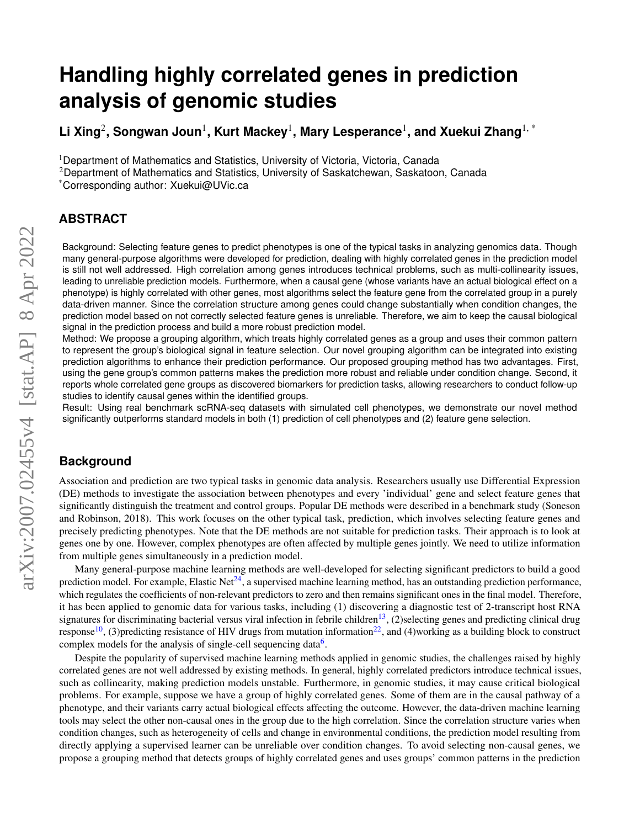# **Handling highly correlated genes in prediction analysis of genomic studies**

 $\mathsf{Lin}$  Songwan Joun $^1$ , Kurt Mackey $^1$ , Mary Lesperance $^1$ , and Xuekui Zhang $^{1,\,*}$ 

<sup>1</sup>Department of Mathematics and Statistics, University of Victoria, Victoria, Canada

<sup>2</sup>Department of Mathematics and Statistics, University of Saskatchewan, Saskatoon, Canada

\*Corresponding author: Xuekui@UVic.ca

## **ABSTRACT**

Background: Selecting feature genes to predict phenotypes is one of the typical tasks in analyzing genomics data. Though many general-purpose algorithms were developed for prediction, dealing with highly correlated genes in the prediction model is still not well addressed. High correlation among genes introduces technical problems, such as multi-collinearity issues, leading to unreliable prediction models. Furthermore, when a causal gene (whose variants have an actual biological effect on a phenotype) is highly correlated with other genes, most algorithms select the feature gene from the correlated group in a purely data-driven manner. Since the correlation structure among genes could change substantially when condition changes, the prediction model based on not correctly selected feature genes is unreliable. Therefore, we aim to keep the causal biological signal in the prediction process and build a more robust prediction model.

Method: We propose a grouping algorithm, which treats highly correlated genes as a group and uses their common pattern to represent the group's biological signal in feature selection. Our novel grouping algorithm can be integrated into existing prediction algorithms to enhance their prediction performance. Our proposed grouping method has two advantages. First, using the gene group's common patterns makes the prediction more robust and reliable under condition change. Second, it reports whole correlated gene groups as discovered biomarkers for prediction tasks, allowing researchers to conduct follow-up studies to identify causal genes within the identified groups.

Result: Using real benchmark scRNA-seq datasets with simulated cell phenotypes, we demonstrate our novel method significantly outperforms standard models in both (1) prediction of cell phenotypes and (2) feature gene selection.

## **Background**

Association and prediction are two typical tasks in genomic data analysis. Researchers usually use Differential Expression (DE) methods to investigate the association between phenotypes and every 'individual' gene and select feature genes that significantly distinguish the treatment and control groups. Popular DE methods were described in a benchmark study (Soneson and Robinson, 2018). This work focuses on the other typical task, prediction, which involves selecting feature genes and precisely predicting phenotypes. Note that the DE methods are not suitable for prediction tasks. Their approach is to look at genes one by one. However, complex phenotypes are often affected by multiple genes jointly. We need to utilize information from multiple genes simultaneously in a prediction model.

Many general-purpose machine learning methods are well-developed for selecting significant predictors to build a good prediction model. For example, Elastic Net<sup>[24](#page-8-0)</sup>, a supervised machine learning method, has an outstanding prediction performance, which regulates the coefficients of non-relevant predictors to zero and then remains significant ones in the final model. Therefore, it has been applied to genomic data for various tasks, including (1) discovering a diagnostic test of 2-transcript host RNA signatures for discriminating bacterial versus viral infection in febrile children<sup>[13](#page-7-0)</sup>, (2)selecting genes and predicting clinical drug response<sup>[10](#page-7-1)</sup>, (3)predicting resistance of HIV drugs from mutation information<sup>[22](#page-8-1)</sup>, and (4)working as a building block to construct complex models for the analysis of single-cell sequencing data<sup>[6](#page-7-2)</sup>.

Despite the popularity of supervised machine learning methods applied in genomic studies, the challenges raised by highly correlated genes are not well addressed by existing methods. In general, highly correlated predictors introduce technical issues, such as collinearity, making prediction models unstable. Furthermore, in genomic studies, it may cause critical biological problems. For example, suppose we have a group of highly correlated genes. Some of them are in the causal pathway of a phenotype, and their variants carry actual biological effects affecting the outcome. However, the data-driven machine learning tools may select the other non-causal ones in the group due to the high correlation. Since the correlation structure varies when condition changes, such as heterogeneity of cells and change in environmental conditions, the prediction model resulting from directly applying a supervised learner can be unreliable over condition changes. To avoid selecting non-causal genes, we propose a grouping method that detects groups of highly correlated genes and uses groups' common patterns in the prediction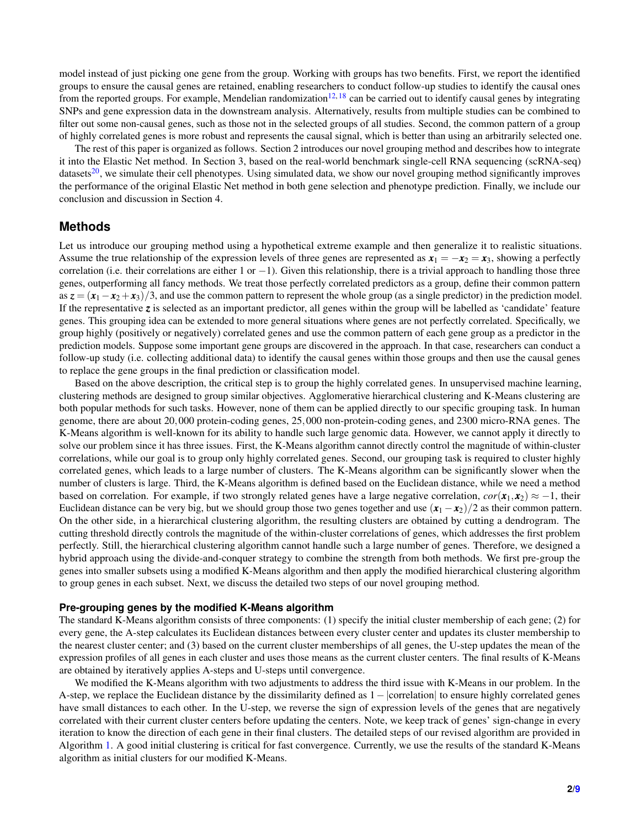model instead of just picking one gene from the group. Working with groups has two benefits. First, we report the identified groups to ensure the causal genes are retained, enabling researchers to conduct follow-up studies to identify the causal ones from the reported groups. For example, Mendelian randomization<sup>[12,](#page-7-3) [18](#page-8-2)</sup> can be carried out to identify causal genes by integrating SNPs and gene expression data in the downstream analysis. Alternatively, results from multiple studies can be combined to filter out some non-causal genes, such as those not in the selected groups of all studies. Second, the common pattern of a group of highly correlated genes is more robust and represents the causal signal, which is better than using an arbitrarily selected one.

The rest of this paper is organized as follows. Section 2 introduces our novel grouping method and describes how to integrate it into the Elastic Net method. In Section 3, based on the real-world benchmark single-cell RNA sequencing (scRNA-seq) datasets<sup>[20](#page-8-3)</sup>, we simulate their cell phenotypes. Using simulated data, we show our novel grouping method significantly improves the performance of the original Elastic Net method in both gene selection and phenotype prediction. Finally, we include our conclusion and discussion in Section 4.

## **Methods**

Let us introduce our grouping method using a hypothetical extreme example and then generalize it to realistic situations. Assume the true relationship of the expression levels of three genes are represented as  $x_1 = -x_2 = x_3$ , showing a perfectly correlation (i.e. their correlations are either 1 or −1). Given this relationship, there is a trivial approach to handling those three genes, outperforming all fancy methods. We treat those perfectly correlated predictors as a group, define their common pattern as  $z = (x_1 - x_2 + x_3)/3$ , and use the common pattern to represent the whole group (as a single predictor) in the prediction model. If the representative *z* is selected as an important predictor, all genes within the group will be labelled as 'candidate' feature genes. This grouping idea can be extended to more general situations where genes are not perfectly correlated. Specifically, we group highly (positively or negatively) correlated genes and use the common pattern of each gene group as a predictor in the prediction models. Suppose some important gene groups are discovered in the approach. In that case, researchers can conduct a follow-up study (i.e. collecting additional data) to identify the causal genes within those groups and then use the causal genes to replace the gene groups in the final prediction or classification model.

Based on the above description, the critical step is to group the highly correlated genes. In unsupervised machine learning, clustering methods are designed to group similar objectives. Agglomerative hierarchical clustering and K-Means clustering are both popular methods for such tasks. However, none of them can be applied directly to our specific grouping task. In human genome, there are about 20,000 protein-coding genes, 25,000 non-protein-coding genes, and 2300 micro-RNA genes. The K-Means algorithm is well-known for its ability to handle such large genomic data. However, we cannot apply it directly to solve our problem since it has three issues. First, the K-Means algorithm cannot directly control the magnitude of within-cluster correlations, while our goal is to group only highly correlated genes. Second, our grouping task is required to cluster highly correlated genes, which leads to a large number of clusters. The K-Means algorithm can be significantly slower when the number of clusters is large. Third, the K-Means algorithm is defined based on the Euclidean distance, while we need a method based on correlation. For example, if two strongly related genes have a large negative correlation,  $cor(\mathbf{x}_1, \mathbf{x}_2) \approx -1$ , their Euclidean distance can be very big, but we should group those two genes together and use  $(x_1 - x_2)/2$  as their common pattern. On the other side, in a hierarchical clustering algorithm, the resulting clusters are obtained by cutting a dendrogram. The cutting threshold directly controls the magnitude of the within-cluster correlations of genes, which addresses the first problem perfectly. Still, the hierarchical clustering algorithm cannot handle such a large number of genes. Therefore, we designed a hybrid approach using the divide-and-conquer strategy to combine the strength from both methods. We first pre-group the genes into smaller subsets using a modified K-Means algorithm and then apply the modified hierarchical clustering algorithm to group genes in each subset. Next, we discuss the detailed two steps of our novel grouping method.

#### **Pre-grouping genes by the modified K-Means algorithm**

The standard K-Means algorithm consists of three components: (1) specify the initial cluster membership of each gene; (2) for every gene, the A-step calculates its Euclidean distances between every cluster center and updates its cluster membership to the nearest cluster center; and (3) based on the current cluster memberships of all genes, the U-step updates the mean of the expression profiles of all genes in each cluster and uses those means as the current cluster centers. The final results of K-Means are obtained by iteratively applies A-steps and U-steps until convergence.

We modified the K-Means algorithm with two adjustments to address the third issue with K-Means in our problem. In the A-step, we replace the Euclidean distance by the dissimilarity defined as 1− |correlation| to ensure highly correlated genes have small distances to each other. In the U-step, we reverse the sign of expression levels of the genes that are negatively correlated with their current cluster centers before updating the centers. Note, we keep track of genes' sign-change in every iteration to know the direction of each gene in their final clusters. The detailed steps of our revised algorithm are provided in Algorithm [1.](#page-2-0) A good initial clustering is critical for fast convergence. Currently, we use the results of the standard K-Means algorithm as initial clusters for our modified K-Means.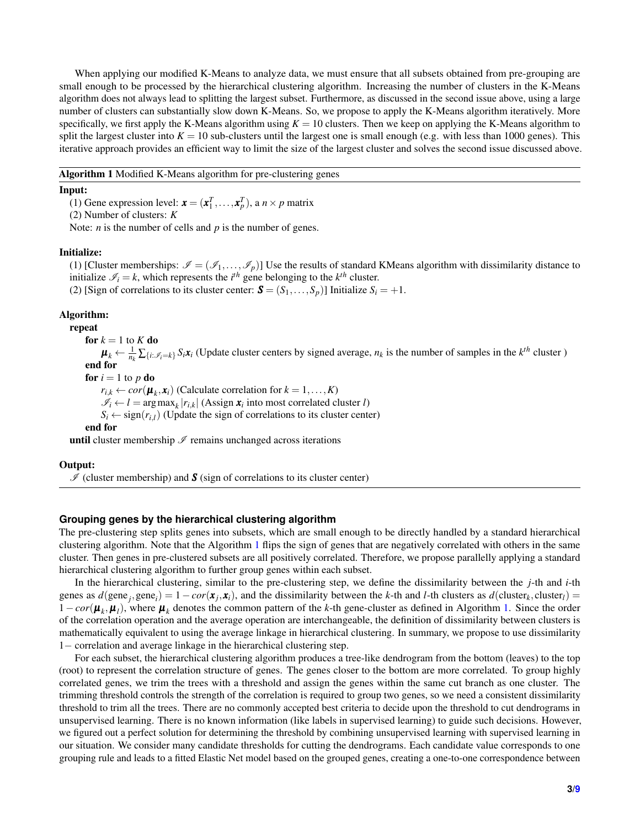When applying our modified K-Means to analyze data, we must ensure that all subsets obtained from pre-grouping are small enough to be processed by the hierarchical clustering algorithm. Increasing the number of clusters in the K-Means algorithm does not always lead to splitting the largest subset. Furthermore, as discussed in the second issue above, using a large number of clusters can substantially slow down K-Means. So, we propose to apply the K-Means algorithm iteratively. More specifically, we first apply the K-Means algorithm using  $K = 10$  clusters. Then we keep on applying the K-Means algorithm to split the largest cluster into  $K = 10$  sub-clusters until the largest one is small enough (e.g. with less than 1000 genes). This iterative approach provides an efficient way to limit the size of the largest cluster and solves the second issue discussed above.

<span id="page-2-0"></span>Algorithm 1 Modified K-Means algorithm for pre-clustering genes

#### Input:

(1) Gene expression level:  $\mathbf{x} = (\mathbf{x}_1^T, \dots, \mathbf{x}_p^T)$ , a  $n \times p$  matrix

(2) Number of clusters: *K*

Note: *n* is the number of cells and *p* is the number of genes.

#### Initialize:

(1) [Cluster memberships:  $\mathcal{I} = (\mathcal{I}_1, \ldots, \mathcal{I}_n)$ ] Use the results of standard KMeans algorithm with dissimilarity distance to initialize  $\mathcal{I}_i = k$ , which represents the *i*<sup>th</sup> gene belonging to the *k*<sup>th</sup> cluster.

(2) [Sign of correlations to its cluster center:  $\mathbf{S} = (S_1, \ldots, S_p)$ ] Initialize  $S_i = +1$ .

#### Algorithm:

repeat

for  $k = 1$  to  $K$  do

 $\mu_k \leftarrow \frac{1}{n_k} \sum_{\{i : \mathscr{I}_i = k\}} S_i x_i$  (Update cluster centers by signed average,  $n_k$  is the number of samples in the  $k^{th}$  cluster ) end for

for  $i = 1$  to  $p$  do

 $r_{i,k} \leftarrow cor(\boldsymbol{\mu}_k, \boldsymbol{x}_i)$  (Calculate correlation for  $k = 1, ..., K$ )

 $\mathscr{I}_i \leftarrow l = \arg \max_k |r_{i,k}|$  (Assign  $\mathbf{x}_i$  into most correlated cluster *l*)

 $S_i \leftarrow sign(r_{i,l})$  (Update the sign of correlations to its cluster center)

#### end for

**until** cluster membership  $\mathcal I$  remains unchanged across iterations

#### Output:

 $I$  (cluster membership) and **S** (sign of correlations to its cluster center)

#### **Grouping genes by the hierarchical clustering algorithm**

The pre-clustering step splits genes into subsets, which are small enough to be directly handled by a standard hierarchical clustering algorithm. Note that the Algorithm [1](#page-2-0) flips the sign of genes that are negatively correlated with others in the same cluster. Then genes in pre-clustered subsets are all positively correlated. Therefore, we propose parallelly applying a standard hierarchical clustering algorithm to further group genes within each subset.

In the hierarchical clustering, similar to the pre-clustering step, we define the dissimilarity between the *j*-th and *i*-th genes as  $d(\text{gene}_j, \text{gene}_i) = 1 - \text{cor}(\mathbf{x}_j, \mathbf{x}_i)$ , and the dissimilarity between the *k*-th and *l*-th clusters as  $d(\text{cluster}_k, \text{cluster}_l) =$  $1-cor(\mu_k, \mu_l)$ , where  $\mu_k$  denotes the common pattern of the *k*-th gene-cluster as defined in Algorithm [1.](#page-2-0) Since the order of the correlation operation and the average operation are interchangeable, the definition of dissimilarity between clusters is mathematically equivalent to using the average linkage in hierarchical clustering. In summary, we propose to use dissimilarity 1− correlation and average linkage in the hierarchical clustering step.

For each subset, the hierarchical clustering algorithm produces a tree-like dendrogram from the bottom (leaves) to the top (root) to represent the correlation structure of genes. The genes closer to the bottom are more correlated. To group highly correlated genes, we trim the trees with a threshold and assign the genes within the same cut branch as one cluster. The trimming threshold controls the strength of the correlation is required to group two genes, so we need a consistent dissimilarity threshold to trim all the trees. There are no commonly accepted best criteria to decide upon the threshold to cut dendrograms in unsupervised learning. There is no known information (like labels in supervised learning) to guide such decisions. However, we figured out a perfect solution for determining the threshold by combining unsupervised learning with supervised learning in our situation. We consider many candidate thresholds for cutting the dendrograms. Each candidate value corresponds to one grouping rule and leads to a fitted Elastic Net model based on the grouped genes, creating a one-to-one correspondence between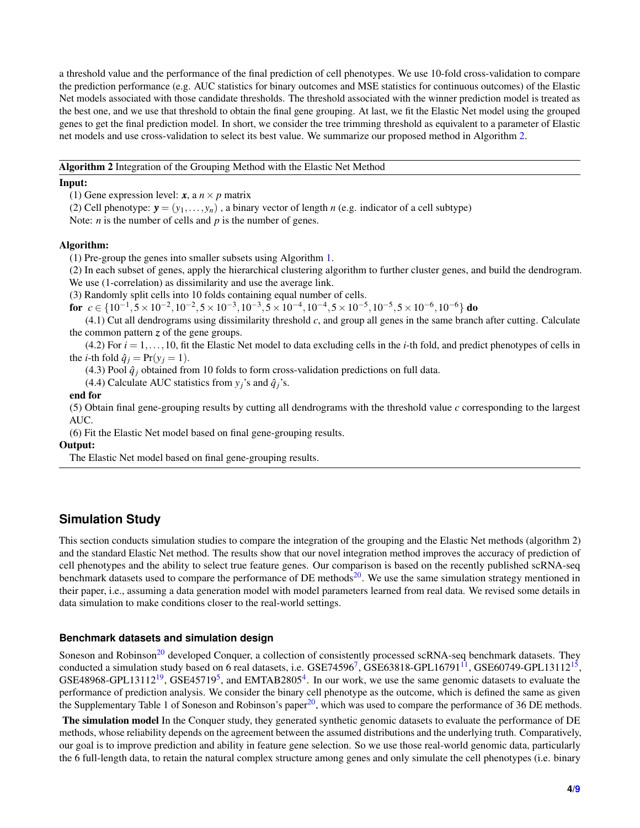a threshold value and the performance of the final prediction of cell phenotypes. We use 10-fold cross-validation to compare the prediction performance (e.g. AUC statistics for binary outcomes and MSE statistics for continuous outcomes) of the Elastic Net models associated with those candidate thresholds. The threshold associated with the winner prediction model is treated as the best one, and we use that threshold to obtain the final gene grouping. At last, we fit the Elastic Net model using the grouped genes to get the final prediction model. In short, we consider the tree trimming threshold as equivalent to a parameter of Elastic net models and use cross-validation to select its best value. We summarize our proposed method in Algorithm [2.](#page-3-0)

#### <span id="page-3-0"></span>Algorithm 2 Integration of the Grouping Method with the Elastic Net Method

#### Input:

(1) Gene expression level:  $x$ , a  $n \times p$  matrix

(2) Cell phenotype:  $\mathbf{y} = (y_1, \ldots, y_n)$ , a binary vector of length *n* (e.g. indicator of a cell subtype)

Note: *n* is the number of cells and *p* is the number of genes.

#### Algorithm:

(1) Pre-group the genes into smaller subsets using Algorithm [1.](#page-2-0)

(2) In each subset of genes, apply the hierarchical clustering algorithm to further cluster genes, and build the dendrogram. We use (1-correlation) as dissimilarity and use the average link.

(3) Randomly split cells into 10 folds containing equal number of cells.

for *c* ∈ { $10^{-1}$ , 5 ×  $10^{-2}$ ,  $10^{-2}$ , 5 ×  $10^{-3}$ ,  $10^{-3}$ , 5 ×  $10^{-4}$ ,  $10^{-4}$ ,  $5 \times 10^{-5}$ ,  $10^{-5}$ ,  $5 \times 10^{-6}$ ,  $10^{-6}$ } do

(4.1) Cut all dendrograms using dissimilarity threshold *c*, and group all genes in the same branch after cutting. Calculate the common pattern *z* of the gene groups.

 $(4.2)$  For  $i = 1, \ldots, 10$ , fit the Elastic Net model to data excluding cells in the *i*-th fold, and predict phenotypes of cells in the *i*-th fold  $\hat{q}_i = Pr(y_i = 1)$ .

(4.3) Pool  $\hat{q}_i$  obtained from 10 folds to form cross-validation predictions on full data.

(4.4) Calculate AUC statistics from  $y_i$ 's and  $\hat{q}_i$ 's.

#### end for

(5) Obtain final gene-grouping results by cutting all dendrograms with the threshold value *c* corresponding to the largest AUC.

(6) Fit the Elastic Net model based on final gene-grouping results.

Output:

The Elastic Net model based on final gene-grouping results.

## **Simulation Study**

This section conducts simulation studies to compare the integration of the grouping and the Elastic Net methods (algorithm 2) and the standard Elastic Net method. The results show that our novel integration method improves the accuracy of prediction of cell phenotypes and the ability to select true feature genes. Our comparison is based on the recently published scRNA-seq benchmark datasets used to compare the performance of DE methods $20$ . We use the same simulation strategy mentioned in their paper, i.e., assuming a data generation model with model parameters learned from real data. We revised some details in data simulation to make conditions closer to the real-world settings.

#### **Benchmark datasets and simulation design**

Soneson and Robinson<sup>[20](#page-8-3)</sup> developed Conquer, a collection of consistently processed scRNA-seq benchmark datasets. They conducted a simulation study based on 6 real datasets, i.e.  $GSE74596^7$  $GSE74596^7$  $GSE74596^7$ ,  $GSE63818\text{-}GPL16791^{11}$  $GSE63818\text{-}GPL16791^{11}$  $GSE63818\text{-}GPL16791^{11}$ ,  $GSE60749\text{-}GPL13112^{15}$  $GSE60749\text{-}GPL13112^{15}$  $GSE60749\text{-}GPL13112^{15}$ , GSE48968-GPL13112<sup>[19](#page-8-6)</sup>, GSE4[5](#page-7-6)719<sup>5</sup>, and EMTAB2805<sup>[4](#page-7-7)</sup>. In our work, we use the same genomic datasets to evaluate the performance of prediction analysis. We consider the binary cell phenotype as the outcome, which is defined the same as given the Supplementary Table 1 of Soneson and Robinson's paper<sup>[20](#page-8-3)</sup>, which was used to compare the performance of 36 DE methods.

The simulation model In the Conquer study, they generated synthetic genomic datasets to evaluate the performance of DE methods, whose reliability depends on the agreement between the assumed distributions and the underlying truth. Comparatively, our goal is to improve prediction and ability in feature gene selection. So we use those real-world genomic data, particularly the 6 full-length data, to retain the natural complex structure among genes and only simulate the cell phenotypes (i.e. binary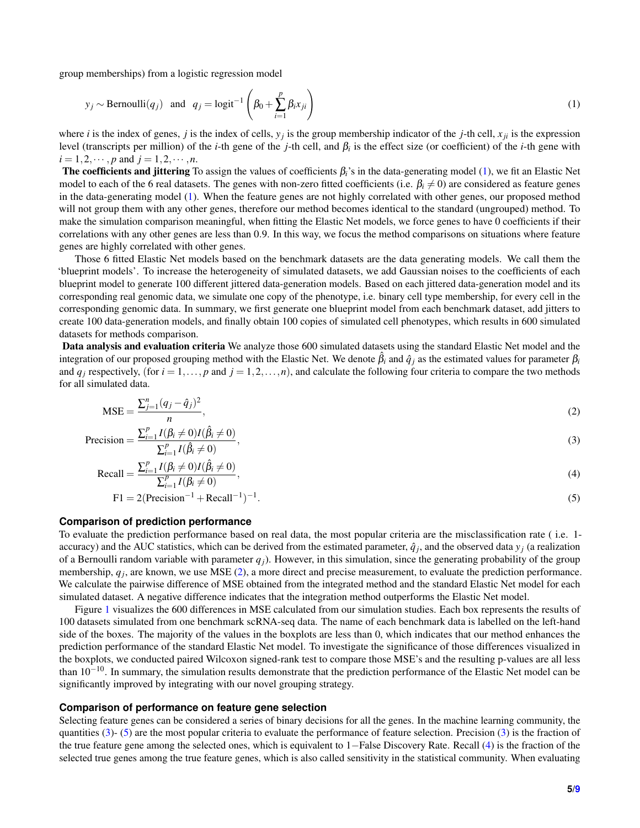group memberships) from a logistic regression model

<span id="page-4-0"></span>
$$
y_j \sim \text{Bernoulli}(q_j)
$$
 and  $q_j = \text{logit}^{-1}\left(\beta_0 + \sum_{i=1}^p \beta_i x_{ji}\right)$  (1)

where *i* is the index of genes, *j* is the index of cells, *y<sup>j</sup>* is the group membership indicator of the *j*-th cell, *xji* is the expression level (transcripts per million) of the *i*-th gene of the *j*-th cell, and β*<sup>i</sup>* is the effect size (or coefficient) of the *i*-th gene with  $i = 1, 2, \dots, p$  and  $j = 1, 2, \dots, n$ .

The coefficients and jittering To assign the values of coefficients β*i*'s in the data-generating model [\(1\)](#page-4-0), we fit an Elastic Net model to each of the 6 real datasets. The genes with non-zero fitted coefficients (i.e.  $\beta_i \neq 0$ ) are considered as feature genes in the data-generating model [\(1\)](#page-4-0). When the feature genes are not highly correlated with other genes, our proposed method will not group them with any other genes, therefore our method becomes identical to the standard (ungrouped) method. To make the simulation comparison meaningful, when fitting the Elastic Net models, we force genes to have 0 coefficients if their correlations with any other genes are less than 0.9. In this way, we focus the method comparisons on situations where feature genes are highly correlated with other genes.

Those 6 fitted Elastic Net models based on the benchmark datasets are the data generating models. We call them the 'blueprint models'. To increase the heterogeneity of simulated datasets, we add Gaussian noises to the coefficients of each blueprint model to generate 100 different jittered data-generation models. Based on each jittered data-generation model and its corresponding real genomic data, we simulate one copy of the phenotype, i.e. binary cell type membership, for every cell in the corresponding genomic data. In summary, we first generate one blueprint model from each benchmark dataset, add jitters to create 100 data-generation models, and finally obtain 100 copies of simulated cell phenotypes, which results in 600 simulated datasets for methods comparison.

Data analysis and evaluation criteria We analyze those 600 simulated datasets using the standard Elastic Net model and the integration of our proposed grouping method with the Elastic Net. We denote  $\beta_i$  and  $\hat{q}_i$  as the estimated values for parameter  $\beta_i$ and  $q_i$  respectively, (for  $i = 1, \ldots, p$  and  $j = 1, 2, \ldots, n$ ), and calculate the following four criteria to compare the two methods for all simulated data.

<span id="page-4-1"></span>
$$
\text{MSE} = \frac{\sum_{j=1}^{n} (q_j - \hat{q}_j)^2}{n},\tag{2}
$$

$$
\text{Precision} = \frac{\sum_{i=1}^{p} I(\beta_i \neq 0) I(\hat{\beta}_i \neq 0)}{\sum_{i=1}^{p} I(\hat{\beta}_i \neq 0)},\tag{3}
$$

Recall = 
$$
\frac{\sum_{i=1}^{p} I(\beta_i \neq 0) I(\hat{\beta}_i \neq 0)}{\sum_{i=1}^{p} I(\beta_i \neq 0)},
$$
 (4)

<span id="page-4-4"></span><span id="page-4-3"></span><span id="page-4-2"></span>
$$
F1 = 2(\text{Precision}^{-1} + \text{Recall}^{-1})^{-1}.
$$
\n
$$
(5)
$$

#### **Comparison of prediction performance**

To evaluate the prediction performance based on real data, the most popular criteria are the misclassification rate ( i.e. 1 accuracy) and the AUC statistics, which can be derived from the estimated parameter,  $\hat{q}_j$ , and the observed data  $y_j$  (a realization of a Bernoulli random variable with parameter  $q_i$ ). However, in this simulation, since the generating probability of the group membership,  $q_j$ , are known, we use MSE [\(2\)](#page-4-1), a more direct and precise measurement, to evaluate the prediction performance. We calculate the pairwise difference of MSE obtained from the integrated method and the standard Elastic Net model for each simulated dataset. A negative difference indicates that the integration method outperforms the Elastic Net model.

Figure [1](#page-5-0) visualizes the 600 differences in MSE calculated from our simulation studies. Each box represents the results of 100 datasets simulated from one benchmark scRNA-seq data. The name of each benchmark data is labelled on the left-hand side of the boxes. The majority of the values in the boxplots are less than 0, which indicates that our method enhances the prediction performance of the standard Elastic Net model. To investigate the significance of those differences visualized in the boxplots, we conducted paired Wilcoxon signed-rank test to compare those MSE's and the resulting p-values are all less than 10−10. In summary, the simulation results demonstrate that the prediction performance of the Elastic Net model can be significantly improved by integrating with our novel grouping strategy.

#### **Comparison of performance on feature gene selection**

Selecting feature genes can be considered a series of binary decisions for all the genes. In the machine learning community, the quantities  $(3)$ -  $(5)$  are the most popular criteria to evaluate the performance of feature selection. Precision  $(3)$  is the fraction of the true feature gene among the selected ones, which is equivalent to 1−False Discovery Rate. Recall [\(4\)](#page-4-4) is the fraction of the selected true genes among the true feature genes, which is also called sensitivity in the statistical community. When evaluating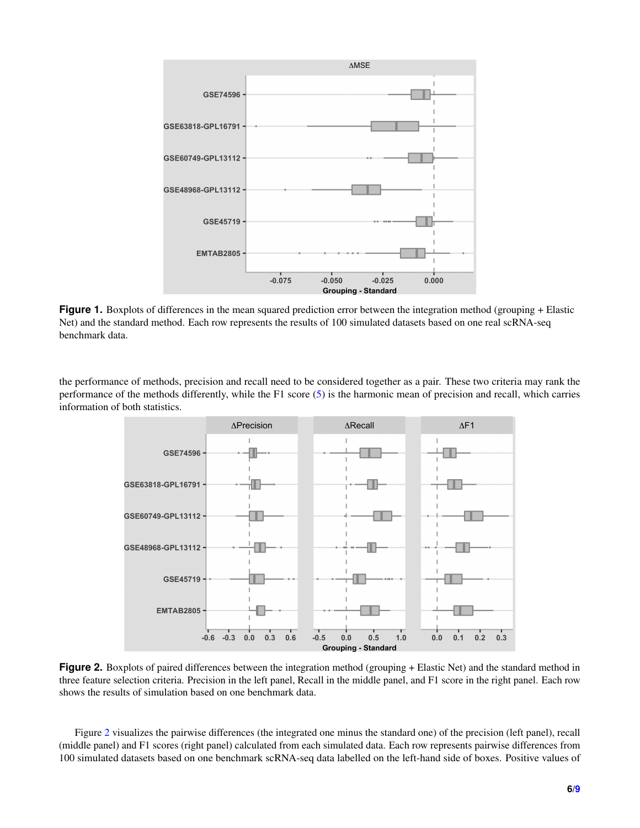<span id="page-5-0"></span>

**Figure 1.** Boxplots of differences in the mean squared prediction error between the integration method (grouping + Elastic Net) and the standard method. Each row represents the results of 100 simulated datasets based on one real scRNA-seq benchmark data.

<span id="page-5-1"></span>the performance of methods, precision and recall need to be considered together as a pair. These two criteria may rank the performance of the methods differently, while the F1 score [\(5\)](#page-4-3) is the harmonic mean of precision and recall, which carries information of both statistics.



**Figure 2.** Boxplots of paired differences between the integration method (grouping + Elastic Net) and the standard method in three feature selection criteria. Precision in the left panel, Recall in the middle panel, and F1 score in the right panel. Each row shows the results of simulation based on one benchmark data.

Figure [2](#page-5-1) visualizes the pairwise differences (the integrated one minus the standard one) of the precision (left panel), recall (middle panel) and F1 scores (right panel) calculated from each simulated data. Each row represents pairwise differences from 100 simulated datasets based on one benchmark scRNA-seq data labelled on the left-hand side of boxes. Positive values of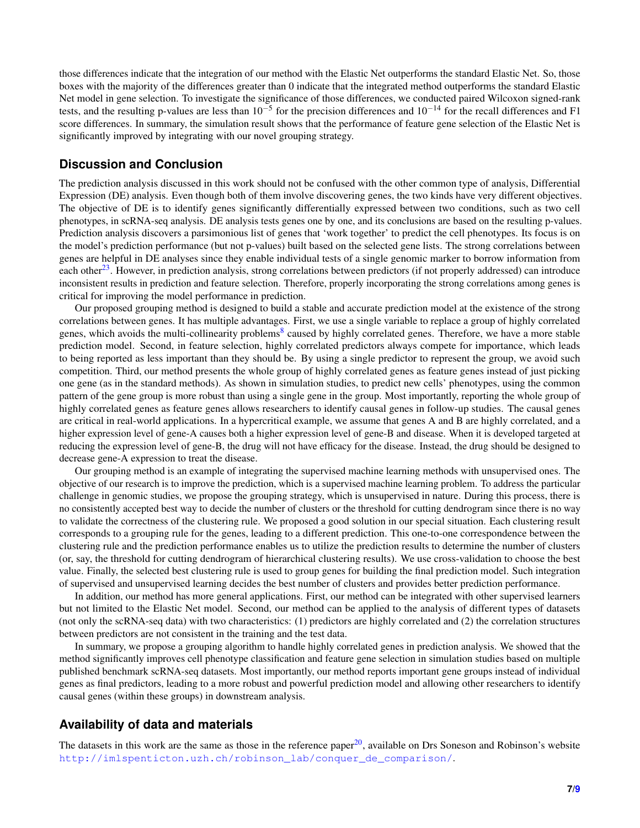those differences indicate that the integration of our method with the Elastic Net outperforms the standard Elastic Net. So, those boxes with the majority of the differences greater than 0 indicate that the integrated method outperforms the standard Elastic Net model in gene selection. To investigate the significance of those differences, we conducted paired Wilcoxon signed-rank tests, and the resulting p-values are less than  $10^{-5}$  for the precision differences and  $10^{-14}$  for the recall differences and F1 score differences. In summary, the simulation result shows that the performance of feature gene selection of the Elastic Net is significantly improved by integrating with our novel grouping strategy.

## **Discussion and Conclusion**

The prediction analysis discussed in this work should not be confused with the other common type of analysis, Differential Expression (DE) analysis. Even though both of them involve discovering genes, the two kinds have very different objectives. The objective of DE is to identify genes significantly differentially expressed between two conditions, such as two cell phenotypes, in scRNA-seq analysis. DE analysis tests genes one by one, and its conclusions are based on the resulting p-values. Prediction analysis discovers a parsimonious list of genes that 'work together' to predict the cell phenotypes. Its focus is on the model's prediction performance (but not p-values) built based on the selected gene lists. The strong correlations between genes are helpful in DE analyses since they enable individual tests of a single genomic marker to borrow information from each other<sup>[23](#page-8-7)</sup>. However, in prediction analysis, strong correlations between predictors (if not properly addressed) can introduce inconsistent results in prediction and feature selection. Therefore, properly incorporating the strong correlations among genes is critical for improving the model performance in prediction.

Our proposed grouping method is designed to build a stable and accurate prediction model at the existence of the strong correlations between genes. It has multiple advantages. First, we use a single variable to replace a group of highly correlated genes, which avoids the multi-collinearity problems<sup>[8](#page-7-8)</sup> caused by highly correlated genes. Therefore, we have a more stable prediction model. Second, in feature selection, highly correlated predictors always compete for importance, which leads to being reported as less important than they should be. By using a single predictor to represent the group, we avoid such competition. Third, our method presents the whole group of highly correlated genes as feature genes instead of just picking one gene (as in the standard methods). As shown in simulation studies, to predict new cells' phenotypes, using the common pattern of the gene group is more robust than using a single gene in the group. Most importantly, reporting the whole group of highly correlated genes as feature genes allows researchers to identify causal genes in follow-up studies. The causal genes are critical in real-world applications. In a hypercritical example, we assume that genes A and B are highly correlated, and a higher expression level of gene-A causes both a higher expression level of gene-B and disease. When it is developed targeted at reducing the expression level of gene-B, the drug will not have efficacy for the disease. Instead, the drug should be designed to decrease gene-A expression to treat the disease.

Our grouping method is an example of integrating the supervised machine learning methods with unsupervised ones. The objective of our research is to improve the prediction, which is a supervised machine learning problem. To address the particular challenge in genomic studies, we propose the grouping strategy, which is unsupervised in nature. During this process, there is no consistently accepted best way to decide the number of clusters or the threshold for cutting dendrogram since there is no way to validate the correctness of the clustering rule. We proposed a good solution in our special situation. Each clustering result corresponds to a grouping rule for the genes, leading to a different prediction. This one-to-one correspondence between the clustering rule and the prediction performance enables us to utilize the prediction results to determine the number of clusters (or, say, the threshold for cutting dendrogram of hierarchical clustering results). We use cross-validation to choose the best value. Finally, the selected best clustering rule is used to group genes for building the final prediction model. Such integration of supervised and unsupervised learning decides the best number of clusters and provides better prediction performance.

In addition, our method has more general applications. First, our method can be integrated with other supervised learners but not limited to the Elastic Net model. Second, our method can be applied to the analysis of different types of datasets (not only the scRNA-seq data) with two characteristics: (1) predictors are highly correlated and (2) the correlation structures between predictors are not consistent in the training and the test data.

In summary, we propose a grouping algorithm to handle highly correlated genes in prediction analysis. We showed that the method significantly improves cell phenotype classification and feature gene selection in simulation studies based on multiple published benchmark scRNA-seq datasets. Most importantly, our method reports important gene groups instead of individual genes as final predictors, leading to a more robust and powerful prediction model and allowing other researchers to identify causal genes (within these groups) in downstream analysis.

## **Availability of data and materials**

The datasets in this work are the same as those in the reference paper $^{20}$  $^{20}$  $^{20}$ , available on Drs Soneson and Robinson's website [http://imlspenticton.uzh.ch/robinson\\_lab/conquer\\_de\\_comparison/](http://imlspenticton.uzh.ch/robinson_lab/conquer_de_comparison/).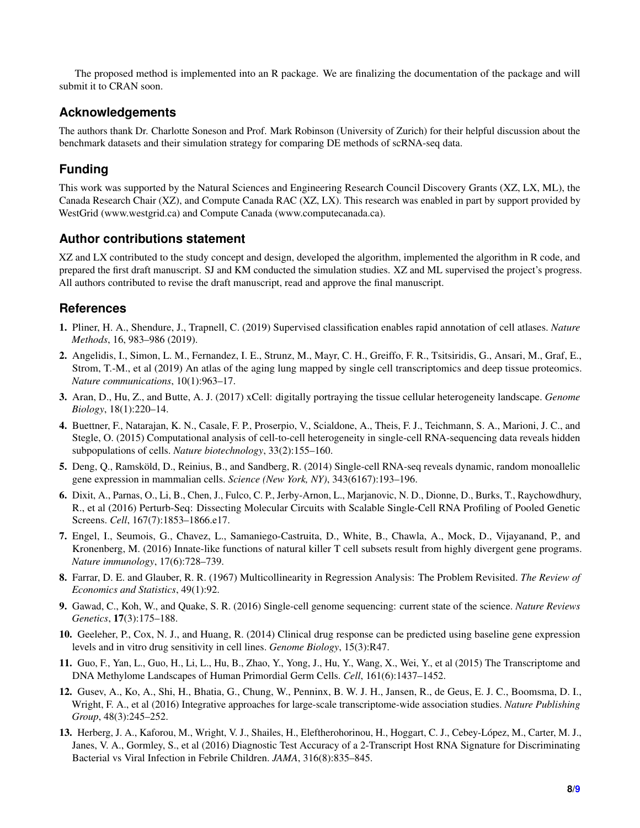The proposed method is implemented into an R package. We are finalizing the documentation of the package and will submit it to CRAN soon.

# **Acknowledgements**

The authors thank Dr. Charlotte Soneson and Prof. Mark Robinson (University of Zurich) for their helpful discussion about the benchmark datasets and their simulation strategy for comparing DE methods of scRNA-seq data.

# **Funding**

This work was supported by the Natural Sciences and Engineering Research Council Discovery Grants (XZ, LX, ML), the Canada Research Chair (XZ), and Compute Canada RAC (XZ, LX). This research was enabled in part by support provided by WestGrid (www.westgrid.ca) and Compute Canada (www.computecanada.ca).

## **Author contributions statement**

XZ and LX contributed to the study concept and design, developed the algorithm, implemented the algorithm in R code, and prepared the first draft manuscript. SJ and KM conducted the simulation studies. XZ and ML supervised the project's progress. All authors contributed to revise the draft manuscript, read and approve the final manuscript.

## **References**

- 1. Pliner, H. A., Shendure, J., Trapnell, C. (2019) Supervised classification enables rapid annotation of cell atlases. *Nature Methods*, 16, 983–986 (2019).
- 2. Angelidis, I., Simon, L. M., Fernandez, I. E., Strunz, M., Mayr, C. H., Greiffo, F. R., Tsitsiridis, G., Ansari, M., Graf, E., Strom, T.-M., et al (2019) An atlas of the aging lung mapped by single cell transcriptomics and deep tissue proteomics. *Nature communications*, 10(1):963–17.
- 3. Aran, D., Hu, Z., and Butte, A. J. (2017) xCell: digitally portraying the tissue cellular heterogeneity landscape. *Genome Biology*, 18(1):220–14.
- <span id="page-7-7"></span>4. Buettner, F., Natarajan, K. N., Casale, F. P., Proserpio, V., Scialdone, A., Theis, F. J., Teichmann, S. A., Marioni, J. C., and Stegle, O. (2015) Computational analysis of cell-to-cell heterogeneity in single-cell RNA-sequencing data reveals hidden subpopulations of cells. *Nature biotechnology*, 33(2):155–160.
- <span id="page-7-6"></span>5. Deng, Q., Ramsköld, D., Reinius, B., and Sandberg, R. (2014) Single-cell RNA-seq reveals dynamic, random monoallelic gene expression in mammalian cells. *Science (New York, NY)*, 343(6167):193–196.
- <span id="page-7-2"></span>6. Dixit, A., Parnas, O., Li, B., Chen, J., Fulco, C. P., Jerby-Arnon, L., Marjanovic, N. D., Dionne, D., Burks, T., Raychowdhury, R., et al (2016) Perturb-Seq: Dissecting Molecular Circuits with Scalable Single-Cell RNA Profiling of Pooled Genetic Screens. *Cell*, 167(7):1853–1866.e17.
- <span id="page-7-4"></span>7. Engel, I., Seumois, G., Chavez, L., Samaniego-Castruita, D., White, B., Chawla, A., Mock, D., Vijayanand, P., and Kronenberg, M. (2016) Innate-like functions of natural killer T cell subsets result from highly divergent gene programs. *Nature immunology*, 17(6):728–739.
- <span id="page-7-8"></span>8. Farrar, D. E. and Glauber, R. R. (1967) Multicollinearity in Regression Analysis: The Problem Revisited. *The Review of Economics and Statistics*, 49(1):92.
- 9. Gawad, C., Koh, W., and Quake, S. R. (2016) Single-cell genome sequencing: current state of the science. *Nature Reviews Genetics*, 17(3):175–188.
- <span id="page-7-1"></span>10. Geeleher, P., Cox, N. J., and Huang, R. (2014) Clinical drug response can be predicted using baseline gene expression levels and in vitro drug sensitivity in cell lines. *Genome Biology*, 15(3):R47.
- <span id="page-7-5"></span>11. Guo, F., Yan, L., Guo, H., Li, L., Hu, B., Zhao, Y., Yong, J., Hu, Y., Wang, X., Wei, Y., et al (2015) The Transcriptome and DNA Methylome Landscapes of Human Primordial Germ Cells. *Cell*, 161(6):1437–1452.
- <span id="page-7-3"></span>12. Gusev, A., Ko, A., Shi, H., Bhatia, G., Chung, W., Penninx, B. W. J. H., Jansen, R., de Geus, E. J. C., Boomsma, D. I., Wright, F. A., et al (2016) Integrative approaches for large-scale transcriptome-wide association studies. *Nature Publishing Group*, 48(3):245–252.
- <span id="page-7-0"></span>13. Herberg, J. A., Kaforou, M., Wright, V. J., Shailes, H., Eleftherohorinou, H., Hoggart, C. J., Cebey-López, M., Carter, M. J., Janes, V. A., Gormley, S., et al (2016) Diagnostic Test Accuracy of a 2-Transcript Host RNA Signature for Discriminating Bacterial vs Viral Infection in Febrile Children. *JAMA*, 316(8):835–845.